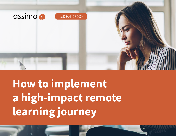

# **How to implement a high-impact remote learning journey**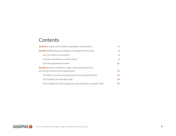## Contents

| <b>Section 1</b> Impacts of the COVID-19 pandemic on L&D teams                                                |    |
|---------------------------------------------------------------------------------------------------------------|----|
| <b>Section 2</b> Rethinking user adoption in the age of remote work                                           | 6  |
| <b>2.1</b> From reactive to proactive                                                                         | 6  |
| <b>2.2</b> From conversion to transformation                                                                  | 8  |
| 2.3 From piecemeal to holistic                                                                                | 11 |
| <b>Section 3</b> How to implement a high-impact remote learning<br>journey for business-critical applications | 12 |
| 3.1 Deliver immersive learning experiences using simulations                                                  | 12 |
| <b>3.2</b> Transition to a blended mode                                                                       | 15 |
| 3.3 Complete your learning journey with performance support tools                                             | 15 |

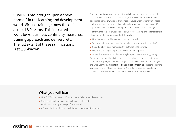COVID-19 has brought upon a "new normal" in the learning and development world. Virtual training is now the default across L&D teams. This impacted workflows, business continuity measures, training approach and delivery, etc. The full extent of these ramifications is still unknown.

Some organizations have embraced the switch to remote work with gusto while others are still on the fence. In some cases, the move to remote only accelerated established trends or was already business as usual. Organizations that phased out in-person training have survived relatively unscathed. In other cases, L&D departments found themselves ill-equipped to deal with such a paradigm shift. In other words, this crisis was a litmus test. It forced learning professionals to take a hard look at their approach and ask themselves:

- **■** How flexible and resilient was my training approach?
- Were our training programs designed to be conducive to virtual training?
- Should we have been more proactive to transition to remote?
- Does this crisis highlight pre-existing flaws in our approach?

■ What's the best way to implement a high-impact remote learning journey? Exploring these questions is the goal of this handbook. Its purpose is to help content developers, instructional designers, learning & development managers and Chief Learning Officers **focused on application training** adapt their learning journeys to the realities of remote work. The insights presented have been distilled from interviews we conducted with Fortune 500 companies.

#### What you will learn

- How COVID-19 impacted L&D teams especially content development.
- 3 shifts in thought, process and technology to facilitate continuous learning in the age of remote work.
- A 3-step plan to implement a high-impact remote learning journey.

assima d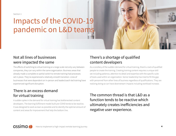<span id="page-3-0"></span>Section 1

## Impacts of the COVID-19 pandemic on L&D teams

#### Not all lines of businesses were impacted the same

The effects of switching to virtual training on a large scale not only vary between companies, they can vary within the same organization. Business areas that already made a complete or partial switch to remote training had processes set in place. They've experienced a relatively smooth transition. Lines of businesses that were dependent on in-person and leader/coach-led training have experienced significant disruption.

### There is an excess demand for virtual training

A sudden spike in the demand for virtual training has bottlenecked content developers. The learning fulfillment model built pre-COVID tends to be reactive. It was designed to work as lean as possible and to identify the optimal amount of content and areas for improvement that help the bottom line.

## There's a shortage of qualified content developers

As a corollary of the sudden demand for virtual training, there's a lack of qualified people to create the training. Creating training content requires a unique skill set including patience, attention to detail and expertise with the specific suite of tools used within an organization. Senior leadership has tried to fill the gap with personnel from other lines of business regardless of qualifications. They are realizing doing so can have downstream impacts including workload increase.

The common thread is that  $LRD$  as a function tends to be reactive which ultimately creates inefficiencies and negative user experience.

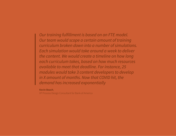*Our training fulfillment is based on an FTE model. Our team would scope a certain amount of training curriculum broken down into a number of simulations. Each simulation would take around a week to deliver the content. We would create a timeline on how long each curriculum takes, based on how much resources available to meet that deadline. For instance, 25 modules would take 3 content developers to develop in X amount of months. Now that COVID hit, the demand has increased exponentially*

**Kevin Beach**,

VP Process Design Consultant for Bank of America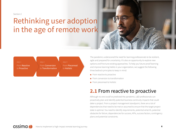<span id="page-5-0"></span>Section 2

## Rethinking user adoption in the age of remote work



The pandemic underscored the need for learning professionals to be resilient, agile and prepared for uncertainty. It's also an opportunity to explore new options and fine-tune existing approaches. To help you future-proof learning and improve learning habits in your organization, we suggest the following three bedrock principles to keep in mind:

- From reactive to proactive
- From conversion to transformation
- From piecemeal to holistic

## **2.1** From reactive to proactive

Although no one could've predicted the pandemic, L&D professionals can proactively plan and identify potential business continuity impacts that could deter a project. From a project management standpoint, there are a lot of dependencies that need to be met or assumed to ensure that the target project state is optimal. You need to identify requirements, potential what-ifs, potential obstacles for failure, dependencies for success, KPIs, success factors, contingency plans and potential constraints.

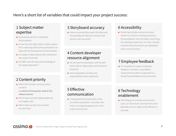#### Here's a short list of variables that could impact your project success:

### 1 Subject matter expertise

- Do business partners understand the processes?
- Do we have the right subject matter experts from a learning and business perspective to help with the development of storyboards?
- Do subject matter experts fully understand the scope of training?
- Do SMEs have the required knowledge of the target application?

#### 2 Content priority

- Which KPIs should I use to prioritize content?
	- *i.e volume of transaction, level of risk, release versions*
- **■** Which tasks have the highest potential to mitigate risks?
- Which tasks are the most complex for new hires?

assima d

#### 3 Storyboard accuracy

■ Does my process flow match the tasks and encapsulates all relevant scenarios that learners will encounter?

#### 4 Content developer resource alignment

- Do we have the developers with the skill sets to deliver high quality and interactive products?
- Have expectations of roles and responsibilities been explained?

## 6 Accessibility

■ Delivering multiple avenues to access content is critical to creating awareness, driving adoption and ultimately maximizing the employee experience. It is also critically important that the lessons are repeatable, versus one-and-done.

#### 7 Employee feedback

■ It's important to capture employee feedback. Consider a quantitative measurement system as opposed to a broad-based feedback mechanism tool.

#### 5 Effective communication

■ Creating beneficial awareness to the incumbent population, not solely new hires is an ongoing opportunity in this matrix environment.

### 8 Technology enablement

■ Technology has multiple avenues that users can drive down and reach the same destination but it might not be efficient or accurate.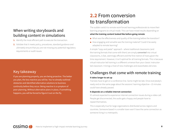#### <span id="page-7-0"></span>When writing storyboards and building content in simulations

- **1.** Identify the most efficient path to execute the transaction.
- **2.** Validate that it meets policy, procedures, standard guidance and ultimately ensure that you are not missing any potential regulatory requirements or audit issues.

#### Key takeaway

assima

If you are planning properly, you are being proactive. The better you plan, the less reactive you will be. You've already outlined obstacles and identified alternative solutions to business continuity before they occur. Being reactive is a symptom of poor planning. Without alternative plans in place, if something happens, you will be forced to figure it out on the fly.

## **2.2** From conversion to transformation

The sudden switch to remote work forced learning professionals to move their learning programs to virtual mode. This can have mixed results depending on **what the training content looked like before going remote**:

- What was the effectiveness and quality of the training before the transition?
- How engaging and versatile was the training material? Could it be easily adapted to remote learning?

A simple "copy and paste" approach - where traditional classrooms (and the training formats that come with them) are simply *converted* into virtual classrooms, is fast, seemingly efficient and the first instinct of many given the time requirement. However, it isn't optimal for all training formats. This is because virtual-instructor led training is a different universe than your classic instructorled classroom. It brings a host of new challenges and exacerbates old ones:

#### Challenges that come with remote training

#### **It takes longer to set up**

Trainees have to get on a conference line. Some might be late. Once everybody's ready and on the same page about the sessions' learning objective—15 minutes could have already passed.

#### **It depends on a reliable internet connection**

It's almost expected to experience internet connection issues during a video call. People get disconnected, the audio gets choppy and people have to repeat themselves.

This is especially true for large organizations distributed across regions and countries. Someone based in a smaller town won't have the same connection as someone living in a metropolis.

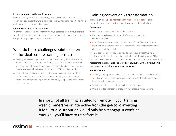#### **It's harder to gauge active participation**

Remote training with video conferencing takes away that instant feedback. It's easier in person to identify who is paying attention, who's asking questions, who's multitasking, who is having difficulty etc.

#### **It's more difficult to assess retention**

With thousands of users working from home, it becomes more difficult to make sure that the training is effective, that users are retaining the information and that everyone is applying it correctly every day.

#### What do these challenges point to in terms of the ideal remote training format?

- Keeping trainees engaged in-person wasn't exactly easy. Now with remote learning and it's lack of immediate feedback, training has to be intrinsically immersive and interactive to maximize engagement and retention. This takes passive formats such as Powerpoint slides and PDFs out of contention.
- Remote training can cause frictions. Ideally, video conferencing would be kept to a minimum. This points to a blended learning approach, where virtual-instructor led training is complemented by self-paced training and/or microlearning.

#### Training conversion *vs* transformation

This [Conversions vs Transformation of virtual learning idea](https://jimguilkey.com/2020/04/28/transformation-vs-conversion-of-virtual-learning/) has been expounded by renowned instructional design expert, Dr. Jim Guilkey.

#### **Conversion**

- Duplicate what you were doing in the classroom.
- If you are using Powerpoint slides, PDFs or static screenshots, simply put it online.
- **■** It's ineffective because it fails to take account of the differences between instructor-led classroom and virtual classroom and all the remote training challenges that they entail.

If you've been looking for advice on how to make your remote training more effective, more "interactive"—most of it will fall under this category. You'll hear "tips and tricks" for virtual facilitation that might be helpful, but fail to realize that **redesigning the content to be naturally conducive to virtual distribution is the greatest lever to improve learning outcomes**.

#### **Transformation**

- Training is redesigned based on the fact that virtual training is a new medium with its own context i.e trainers do not have the instant feedback that face-toface interactions provide anymore.
- Training material is naturally interactive and immersive.
- Uses a blended approach to produce highly effective virtual learning.

In short, not all training is suited for remote. If your training wasn't immersive or interactive from the get-go, converting it for virtual distribution would only be a stopgap. It won't be enough—you'll have to transform it.

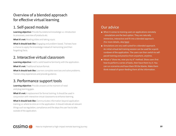### Overview of a blended approach for effective virtual learning

#### 1. Self-paced module

**Learning objective:** Provide foundational knowledge i.e. introduction to processes, overview of products etc.

**What it's not:** Reading slides and taking a quiz.

**What it should look like:** Engaging and problem-based. Trainees have a chance to apply the knowledge instead of memorizing (and then forgetting) facts.

#### 2. Interactive virtual classroom

**Learning objective:** Instill a solid baseline familiarity with the application. **What it's not:** Traditional lecture format.

**What it should look like:** Learners complete exercises and solve problems. Trainers relay experiences and provide guidance.

### 3. Performance support tools

**Learning objective:** Provide answers at the moment of need and plug learning gaps.

**What it's not:** A replacement for formal training. It should be used in conjunction with interactive virtual classrooms to enhance learning.

**What it should look like:** Communicates information beyond application training i.e. where to click on in the application. It should indicate all relevant things such as regulation, compliance and the steps the user has to take outside of the application.

#### Our advice

- When it comes to training users on applications remotely - simulations are the best option. They are naturally immersive, interactive and fit into a blended approach. (For more details, skip [here\)](#page-11-0)
- **■** Simulations are very well suited for a blended approach. An initial virtual-led training session can be used for a quick rundown of the application. The users can then switch to selfpaced training and practice from anywhere, anytime.
- Adopt a "show me, now you try it" method. Show users first how to perform a series of tasks, then have them try it. You can run scenarios and have them fill the blanks. Make them think instead of spoon-feeding them all the information.

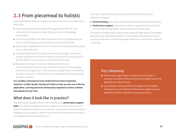## <span id="page-10-0"></span>**2.3** From piecemeal to holistic

Learning should be viewed as a holistic journey, not a series of one-off sessions. Here's why:

- People forget and there are always learning gaps. Even with the most immersive and interactive training, 100% assimilation of knowledge is impossible.
- Formal training might cover 80% of scenarios with the last 20% learned onthe-job. The learning journey has to take account of that last 20%.
- Some tasks on applications are done so rarely that it's unreasonable to expect users to remember how.
- Training material should change as the application changes. Some of the updates might be minor and don't warrant a new round of training. It would be more efficient to relay them to users at the point of need.
- Application training isn't just about where and what to click. It's inherently tied to business processes that are subject to everchanging compliance and regulations. These important changes have to be notified to the right users quickly. This should be done immediately without disrupting the users' workflow.

**As a corollary, learning has to be reinforced over time to maximize retention. In other words, training isn't done as soon as users are in the live application. Learning has to be continuously repeated in various contexts and spaced out over time.**

### What does it look like in practice?

The learning is embedded into the users' workflow with **performance support tools**. This allows employees to receive answers on-the-job, at the moment of need. It's especially important for remote work. Users used to be able to walk to a colleague and ask questions. Without face-to-face communication, they have to be empowered to become autonomous.

That said, a holistic learning journey includes both formal training and performance support.

- **Formal training:** gives users a solid baseline familiarity with the applications.
- **Performance support**: Gives users the ability to apply what they learned in training while working offsite—without any slump in productivity.

The addition of performance support tools creates a bridge between knowledge acquisition and knowledge application. This translates into faster onboarding time for remote users, increased employee performance and less time wasted on re-learning.

#### Key takeaway

- Performance support doesn't replace formal training. It enhances the impact of formal training and enables learners to apply the learning on the job.
- User adoption without performance support is incomplete. Training is not a one-off event. Performance support tools are required to reinforce and perfect learning over time.

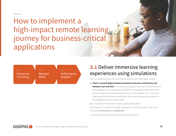#### <span id="page-11-0"></span>Section 3

How to implement a high-impact remote learning journey for business-critical applications



## **3.1** Deliver immersive learning experiences using simulations

We've established that virtual training introduces new challenges, namely:

- **There's a psychological distance between instructor and trainee and between user and tool.** This makes training and learning more abstract and less engaging. It can exacerbate anxieties from employees fearing that they are not ready and will inadvertently make a costly mistake. Plus, instructors might doubt that they did everything in their power to equip users with the knowledge to perform at their best.
- **■** It's harder for instructors to assess active participation.

As a result, for training to be highly-impactful in a virtual context, it has to be intrinsically *immersive* and *interactive*.

Simulation-based training fits these descriptions to a T.

assima d How to implement a high-impact remote learning journey **12**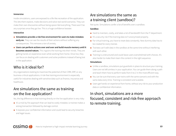#### **Immersive**

Inside simulations, users are exposed to a life-like recreation of the application. This lets them explore, make decisions and solve real-world scenarios. They can make their own discoveries without being spoon-fed everything. There won't be any surprises once they go live. This is a huge confidence booster.

#### **Interactive**

- **Simulations provide a risk-free environment for users to make mistakes early on.** They can see the results of their actions without suffering any consequences. This removes a ton of anxiety.
- **■ Users can perform actions over and over and build muscle memory until it becomes second nature.** This ingrains the training into their minds. They are getting hands-on experience even while working from home. Once live, they can focus on dealing with customers and solve problems instead of being lost in the application.

#### Who is it ideal for?

assima *d* 

Any organizations looking to maximize the potential of their CRM, ERP, or any business-critical applications. A risk-free training environment is especially useful for industries dealing with sensitive data such as finance, insurance and healthcare.

#### Are simulations the same as training on the live application?

No, the big difference is that training directly on the live application is very risky:

- It's a trial-by-fire approach that can lead to costly mistakes i.e trainee makes a wrong transaction followed by damage control.
- **■** It exposes your confidential information and could lead to security breaches and legal issues.

#### Are simulations the same as a training client (sandbox)?

Not quite. Simulations confer a lot of benefits over a sandbox.

#### **Sandbox**

- Hard to maintain, costly, and takes a lot of bandwidth from the IT department.
- **■** It's a security risk if the training data isn't anonymized properly.
- For virtual training, you have to reset data constantly. New dummy data has to be created for every trainee.
- Trainees can't edit data in the sandbox at the same time without interfering with each other
- Training is unstructured and could leave users overwhelmed with choices. It's also harder to make them learn the content in the right sequence.

#### **Simulations**

- **■** Unlike a sandbox, simulations put guardrails in place to structure your training. Users are not left aimless in your application. You can guide them along a path and teach them how to perform tasks from A to Z in the most efficient way.
- You can be sure that every user trains with the same scenario and with the same data every time. Training is consistent and scalable.
- **■** Users get hands-on experience from home, without any risk to your production data or confidential information.

#### In short, simulations are a more focused, consistent and risk-free approach to remote training.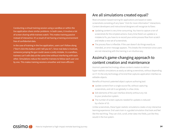#### Conducting a virtual training session using a sandbox or within the live application share similar problems. In both cases, it involves a lot of screen sharing while trainees watch. This makes training passive instead of interactive. It's a result of not having a training environment free of confidential data.

In the case of training in the live application, users can't follow along ("Don't click this button until I tell you to"). Since real data is involved, someone jumping the gun could cause a costly mistake. In a sandbox, trainees can't edit data at the same time without interfering with each other. Simulations reduce the need for trainees to follow each user one by one. This makes training sessions smoother and more efficient.

#### Are all simulations created equal?

Most simulation-based training for applications are based on static screenshots consisting of very basic "click for more information" interactions. Content developers and instructional designers will recognize its flaws:

- Updating content is very time-consuming. You have to capture a ton of screenshots for the simplest actions. Every time there's an update or a mistake to fix, you have to re-record your entire process flow from scratch and retake a new set of screenshots.
- The process flow is inflexible. If the user doesn't do things exactly as intended, an error message appears. This breaks the immersion since users are not interacting with the training in an intuitive way.

#### Assima's game-changing approach to content creation and maintenance

Assima's patented technology allows content creators to deliver hyper-realistic simulations as easily as taking screenshots, without depending on IT. It's the only technology of its kind that captures application interface as editable objects.

Benefits of Assima's patented object capture authoring tool:

- Update content from a single source file, without capturing screenshots, and roll it out globally in a few clicks.
- Edit elements of the user interface directly without any risk to your production system.
- The number of screen captures needed for updates is reduced by a factor of 10.

Unlike screenshots, these hyper-realistic simulations create a truly interactive learning experience. End users train in a guided simulation that look and feel like the real thing. They can click, scroll, enter data into fields, just like they would in the live system.

How to implement a high-impact remote learning journey **14**

 $\alpha$ ssima $\alpha$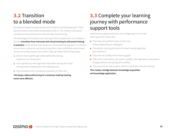## <span id="page-14-0"></span>**3.2** Transition to a blended mode

Simulations-based training naturally lends itself to a blended approach. That's because there's a learning-by-doing aspect built-in. This implies a self-paced component that complements instructor-led virtual training.

The advantage of simulations over training in the live application or a sandbox is that the **transition from instructor-led virtual training to self-paced training is seamless**. Since trainees have access to a structured learning path in a risk-free environment, trainers do not have to share their screen and follow every trainee one by one as they repeat every action. They can follow these simple steps:

- **1.** Deliver short walkthrough videos before the training sessions as an introduction.
- **2.** Give a gentle tour with high-level information during the virtual training session followed by a few talking points.
- **3.** Send trainees to the simulations to practice on their own.

**This keeps videoconferencing at a minimum making training much more efficient.**

## **3.3** Complete your learning journey with performance support tools

Performance support tools serve as an integral part of a remote learning journey. Here's why:

- They help users perform tasks on their own without depending on colleagues.
- They deliver training at the point of need in easily digestible, bite-sized form.
- They serve as a safety net for learning gaps.
- They inform users about new system updates, new regulations and process changes without disrupting their workflow.
- **■** They save time by reducing the need for virtual-led instructor training.

**This creates a bridge between knowledge acquisition and knowledge application.**